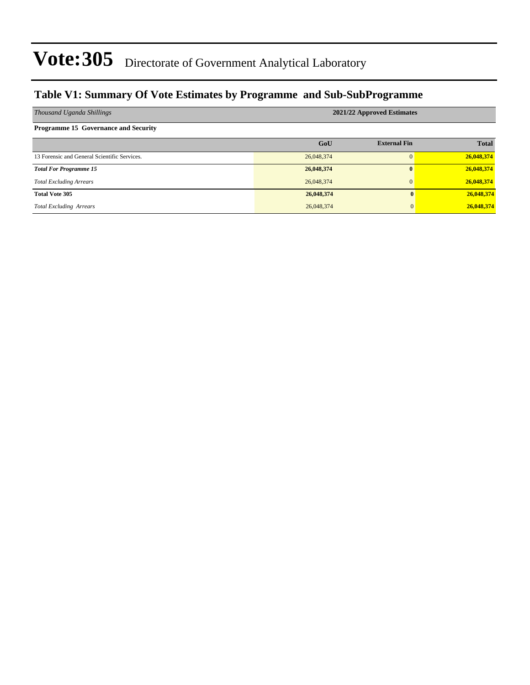### **Table V1: Summary Of Vote Estimates by Programme and Sub-SubProgramme**

| Thousand Uganda Shillings                    | 2021/22 Approved Estimates |                     |              |  |  |  |  |  |  |
|----------------------------------------------|----------------------------|---------------------|--------------|--|--|--|--|--|--|
| <b>Programme 15 Governance and Security</b>  |                            |                     |              |  |  |  |  |  |  |
|                                              | GoU                        | <b>External Fin</b> | <b>Total</b> |  |  |  |  |  |  |
| 13 Forensic and General Scientific Services. | 26,048,374                 |                     | 26,048,374   |  |  |  |  |  |  |
| <b>Total For Programme 15</b>                | 26,048,374                 | $\mathbf{0}$        | 26,048,374   |  |  |  |  |  |  |
| <b>Total Excluding Arrears</b>               | 26,048,374                 |                     | 26,048,374   |  |  |  |  |  |  |
| <b>Total Vote 305</b>                        | 26,048,374                 |                     | 26,048,374   |  |  |  |  |  |  |
| <b>Total Excluding Arrears</b>               | 26,048,374                 | $\Omega$            | 26,048,374   |  |  |  |  |  |  |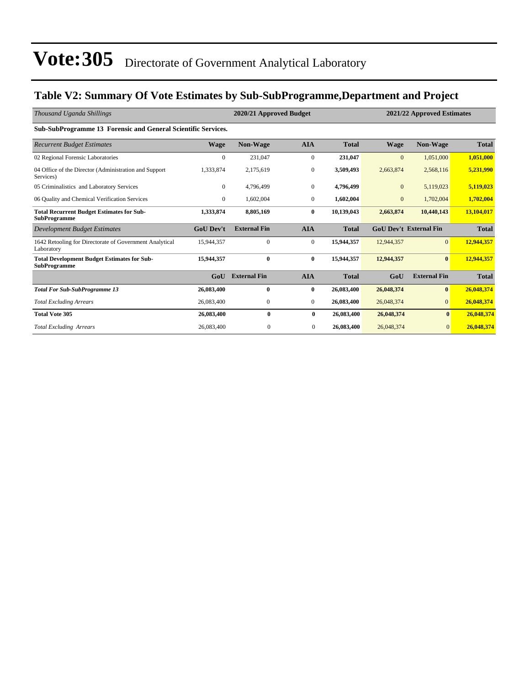### **Table V2: Summary Of Vote Estimates by Sub-SubProgramme,Department and Project**

| Thousand Uganda Shillings                                                 |                  | 2020/21 Approved Budget |                  |              |                  | 2021/22 Approved Estimates    |              |  |  |
|---------------------------------------------------------------------------|------------------|-------------------------|------------------|--------------|------------------|-------------------------------|--------------|--|--|
| Sub-SubProgramme 13 Forensic and General Scientific Services.             |                  |                         |                  |              |                  |                               |              |  |  |
| <b>Recurrent Budget Estimates</b>                                         | <b>Wage</b>      | <b>Non-Wage</b>         | <b>AIA</b>       | <b>Total</b> | <b>Wage</b>      | <b>Non-Wage</b>               | <b>Total</b> |  |  |
| 02 Regional Forensic Laboratories                                         | $\mathbf{0}$     | 231,047                 | $\overline{0}$   | 231,047      | $\overline{0}$   | 1,051,000                     | 1,051,000    |  |  |
| 04 Office of the Director (Administration and Support<br>Services)        | 1,333,874        | 2,175,619               | $\mathbf{0}$     | 3,509,493    | 2,663,874        | 2,568,116                     | 5,231,990    |  |  |
| 05 Criminalistics and Laboratory Services                                 | $\mathbf{0}$     | 4,796,499               | $\boldsymbol{0}$ | 4,796,499    | $\boldsymbol{0}$ | 5,119,023                     | 5,119,023    |  |  |
| 06 Quality and Chemical Verification Services                             | $\mathbf{0}$     | 1,602,004               | $\overline{0}$   | 1,602,004    | $\boldsymbol{0}$ | 1,702,004                     | 1,702,004    |  |  |
| <b>Total Recurrent Budget Estimates for Sub-</b><br><b>SubProgramme</b>   | 1,333,874        | 8,805,169               | $\bf{0}$         | 10,139,043   | 2,663,874        | 10,440,143                    | 13,104,017   |  |  |
| Development Budget Estimates                                              | <b>GoU</b> Dev't | <b>External Fin</b>     | <b>AIA</b>       | <b>Total</b> |                  | <b>GoU Dev't External Fin</b> | <b>Total</b> |  |  |
| 1642 Retooling for Directorate of Government Analytical<br>Laboratory     | 15,944,357       | $\mathbf{0}$            | $\overline{0}$   | 15,944,357   | 12,944,357       | $\overline{0}$                | 12,944,357   |  |  |
| <b>Total Development Budget Estimates for Sub-</b><br><b>SubProgramme</b> | 15,944,357       | $\mathbf{0}$            | $\mathbf{0}$     | 15,944,357   | 12,944,357       | $\mathbf{0}$                  | 12,944,357   |  |  |
|                                                                           | GoU              | <b>External Fin</b>     | <b>AIA</b>       | <b>Total</b> | GoU              | <b>External Fin</b>           | <b>Total</b> |  |  |
| <b>Total For Sub-SubProgramme 13</b>                                      | 26,083,400       | $\mathbf{0}$            | $\bf{0}$         | 26,083,400   | 26,048,374       | $\bf{0}$                      | 26,048,374   |  |  |
| <b>Total Excluding Arrears</b>                                            | 26,083,400       | $\boldsymbol{0}$        | $\overline{0}$   | 26,083,400   | 26,048,374       | $\overline{0}$                | 26,048,374   |  |  |
| <b>Total Vote 305</b>                                                     | 26,083,400       | 0                       | $\bf{0}$         | 26,083,400   | 26,048,374       | $\bf{0}$                      | 26,048,374   |  |  |
| <b>Total Excluding Arrears</b>                                            | 26,083,400       | $\mathbf{0}$            | $\mathbf{0}$     | 26,083,400   | 26,048,374       | $\overline{0}$                | 26,048,374   |  |  |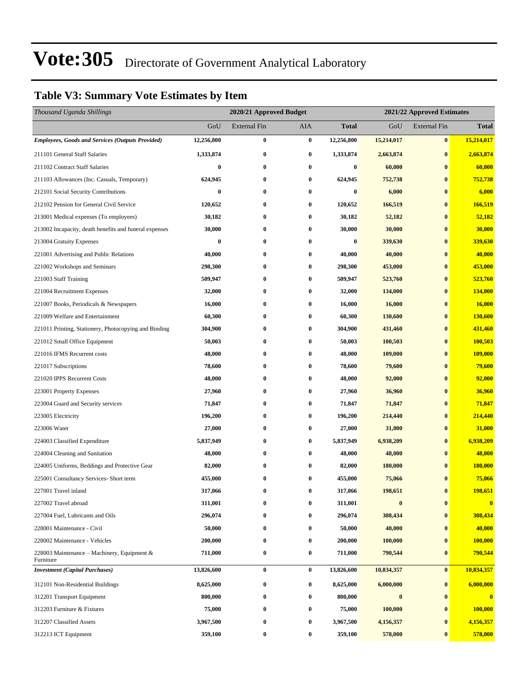### **Table V3: Summary Vote Estimates by Item**

| Thousand Uganda Shillings                                |            |                     | 2020/21 Approved Budget<br>2021/22 Approved Estimates |            |            |                     |                |
|----------------------------------------------------------|------------|---------------------|-------------------------------------------------------|------------|------------|---------------------|----------------|
|                                                          | GoU        | <b>External Fin</b> | AIA                                                   | Total      | GoU        | <b>External Fin</b> | <b>Total</b>   |
| <b>Employees, Goods and Services (Outputs Provided)</b>  | 12,256,800 | $\bf{0}$            | $\bf{0}$                                              | 12,256,800 | 15,214,017 | $\bf{0}$            | 15,214,017     |
| 211101 General Staff Salaries                            | 1,333,874  | $\boldsymbol{0}$    | $\bf{0}$                                              | 1,333,874  | 2,663,874  | $\bf{0}$            | 2,663,874      |
| 211102 Contract Staff Salaries                           | $\bf{0}$   | $\bf{0}$            | $\bf{0}$                                              | $\bf{0}$   | 60,000     | $\bf{0}$            | 60,000         |
| 211103 Allowances (Inc. Casuals, Temporary)              | 624,945    | $\bf{0}$            | $\bf{0}$                                              | 624,945    | 752,738    | $\bf{0}$            | 752,738        |
| 212101 Social Security Contributions                     | $\bf{0}$   | $\bf{0}$            | $\bf{0}$                                              | $\bf{0}$   | 6,000      | $\bf{0}$            | 6,000          |
| 212102 Pension for General Civil Service                 | 120,652    | $\bf{0}$            | $\bf{0}$                                              | 120,652    | 166,519    | $\bf{0}$            | 166,519        |
| 213001 Medical expenses (To employees)                   | 30,182     | $\bf{0}$            | $\bf{0}$                                              | 30,182     | 52,182     | $\bf{0}$            | 52,182         |
| 213002 Incapacity, death benefits and funeral expenses   | 30,000     | $\bf{0}$            | $\bf{0}$                                              | 30,000     | 30,000     | $\bf{0}$            | 30,000         |
| 213004 Gratuity Expenses                                 | $\bf{0}$   | $\bf{0}$            | $\bf{0}$                                              | $\bf{0}$   | 339,630    | $\bf{0}$            | 339,630        |
| 221001 Advertising and Public Relations                  | 40,000     | $\bf{0}$            | $\bf{0}$                                              | 40,000     | 40,000     | $\bf{0}$            | 40,000         |
| 221002 Workshops and Seminars                            | 298,300    | $\bf{0}$            | $\bf{0}$                                              | 298,300    | 453,000    | $\bf{0}$            | 453,000        |
| 221003 Staff Training                                    | 509,947    | $\bf{0}$            | $\bf{0}$                                              | 509,947    | 523,760    | $\bf{0}$            | 523,760        |
| 221004 Recruitment Expenses                              | 32,000     | $\bf{0}$            | $\boldsymbol{0}$                                      | 32,000     | 134,000    | $\bf{0}$            | <b>134,000</b> |
| 221007 Books, Periodicals & Newspapers                   | 16,000     | $\bf{0}$            | $\bf{0}$                                              | 16,000     | 16,000     | $\bf{0}$            | 16,000         |
| 221009 Welfare and Entertainment                         | 60,300     | $\bf{0}$            | 0                                                     | 60,300     | 130,600    | $\bf{0}$            | 130,600        |
| 221011 Printing, Stationery, Photocopying and Binding    | 304,900    | $\bf{0}$            | $\bf{0}$                                              | 304,900    | 431,460    | $\bf{0}$            | 431,460        |
| 221012 Small Office Equipment                            | 50,003     | $\bf{0}$            | 0                                                     | 50,003     | 100,503    | $\bf{0}$            | 100,503        |
| 221016 IFMS Recurrent costs                              | 48,000     | $\bf{0}$            | 0                                                     | 48,000     | 109,000    | $\bf{0}$            | <b>109,000</b> |
| 221017 Subscriptions                                     | 78,600     | $\bf{0}$            | $\bf{0}$                                              | 78,600     | 79,600     | $\bf{0}$            | 79,600         |
| 221020 IPPS Recurrent Costs                              | 48,000     | $\bf{0}$            | 0                                                     | 48,000     | 92,000     | $\bf{0}$            | 92,000         |
| 223001 Property Expenses                                 | 27,960     | $\bf{0}$            | $\bf{0}$                                              | 27,960     | 36,960     | $\bf{0}$            | 36,960         |
| 223004 Guard and Security services                       | 71,847     | $\bf{0}$            | 0                                                     | 71,847     | 71,847     | $\bf{0}$            | 71,847         |
| 223005 Electricity                                       | 196,200    | $\bf{0}$            | $\boldsymbol{0}$                                      | 196,200    | 214,440    | $\bf{0}$            | 214,440        |
| 223006 Water                                             | 27,000     | $\bf{0}$            | $\bf{0}$                                              | 27,000     | 31,000     | $\bf{0}$            | 31,000         |
| 224003 Classified Expenditure                            | 5,837,949  | $\bf{0}$            | $\bf{0}$                                              | 5,837,949  | 6,938,209  | $\bf{0}$            | 6,938,209      |
| 224004 Cleaning and Sanitation                           | 48,000     | $\bf{0}$            | $\bf{0}$                                              | 48,000     | 48,000     | $\bf{0}$            | 48,000         |
| 224005 Uniforms, Beddings and Protective Gear            | 82,000     | 0                   | $\bf{0}$                                              | 82,000     | 180,000    | $\bf{0}$            | 180,000        |
| 225001 Consultancy Services- Short term                  | 455,000    | 0                   | 0                                                     | 455,000    | 75,066     | $\bf{0}$            | 75,066         |
| 227001 Travel inland                                     | 317,066    | 0                   | 0                                                     | 317,066    | 198,651    | $\bf{0}$            | 198,651        |
| 227002 Travel abroad                                     | 311,001    | $\bf{0}$            | 0                                                     | 311,001    | $\bf{0}$   | $\bf{0}$            | $\bf{0}$       |
| 227004 Fuel, Lubricants and Oils                         | 296,074    | 0                   | $\bf{0}$                                              | 296,074    | 308,434    | $\bf{0}$            | 308,434        |
| 228001 Maintenance - Civil                               | 50,000     | 0                   | 0                                                     | 50,000     | 40,000     | $\bf{0}$            | 40,000         |
| 228002 Maintenance - Vehicles                            | 200,000    | 0                   | 0                                                     | 200,000    | 100,000    | $\bf{0}$            | 100,000        |
| 228003 Maintenance – Machinery, Equipment &<br>Furniture | 711,000    | $\bf{0}$            | 0                                                     | 711,000    | 790,544    | $\bf{0}$            | 790,544        |
| <b>Investment</b> (Capital Purchases)                    | 13,826,600 | $\bf{0}$            | $\bf{0}$                                              | 13,826,600 | 10,834,357 | $\bf{0}$            | 10,834,357     |
| 312101 Non-Residential Buildings                         | 8,625,000  | $\bf{0}$            | 0                                                     | 8,625,000  | 6,000,000  | $\bf{0}$            | 6,000,000      |
| 312201 Transport Equipment                               | 800,000    | 0                   | $\bf{0}$                                              | 800,000    | $\bf{0}$   | $\bf{0}$            | $\bf{0}$       |
| 312203 Furniture & Fixtures                              | 75,000     | $\bf{0}$            | $\bf{0}$                                              | 75,000     | 100,000    | $\bf{0}$            | 100,000        |
| 312207 Classified Assets                                 | 3,967,500  | 0                   | $\bf{0}$                                              | 3,967,500  | 4,156,357  | $\bf{0}$            | 4,156,357      |
| 312213 ICT Equipment                                     | 359,100    | $\boldsymbol{0}$    | 0                                                     | 359,100    | 578,000    | $\bf{0}$            | 578,000        |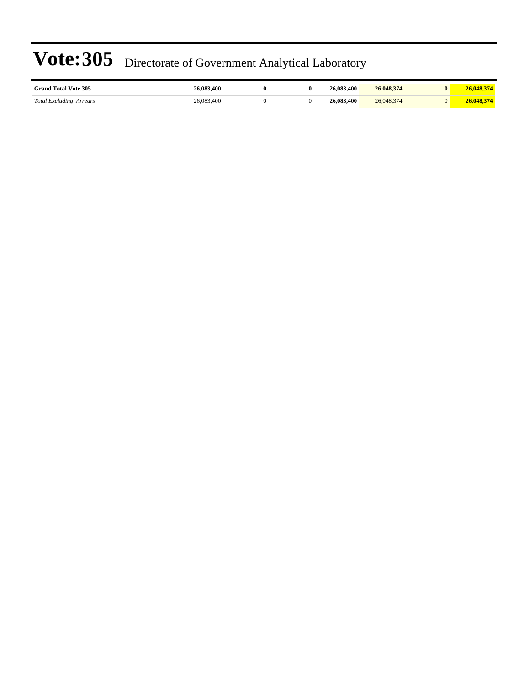| <b>Grand Total Vote 305</b>    | 26,083,400 |  | 26,083,400 | 26,048,374 |  |
|--------------------------------|------------|--|------------|------------|--|
| <b>Total Excluding Arrears</b> | 26.083.400 |  | 26,083,400 | 26,048,374 |  |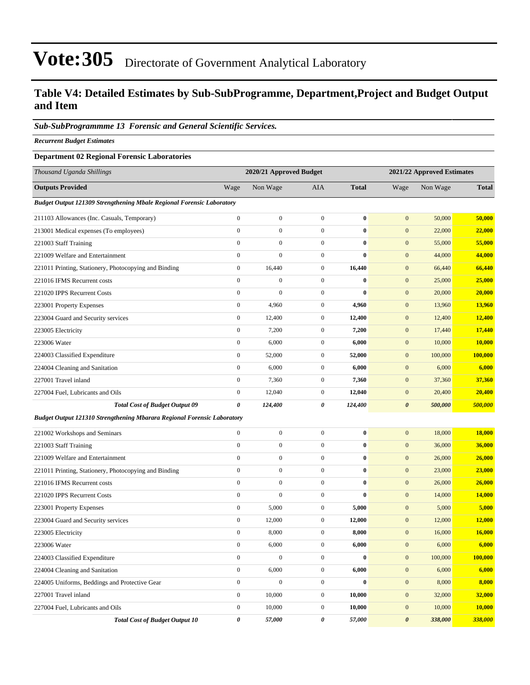### **Table V4: Detailed Estimates by Sub-SubProgramme, Department,Project and Budget Output and Item**

#### *Sub-SubProgrammme 13 Forensic and General Scientific Services.*

*Recurrent Budget Estimates*

#### **Department 02 Regional Forensic Laboratories**

| Thousand Uganda Shillings                                                      |                       | 2020/21 Approved Budget |                  |              | 2021/22 Approved Estimates |          |              |
|--------------------------------------------------------------------------------|-----------------------|-------------------------|------------------|--------------|----------------------------|----------|--------------|
| <b>Outputs Provided</b>                                                        | Wage                  | Non Wage                | <b>AIA</b>       | <b>Total</b> | Wage                       | Non Wage | <b>Total</b> |
| Budget Output 121309 Strengthening Mbale Regional Forensic Laboratory          |                       |                         |                  |              |                            |          |              |
| 211103 Allowances (Inc. Casuals, Temporary)                                    | $\boldsymbol{0}$      | $\boldsymbol{0}$        | $\boldsymbol{0}$ | $\bf{0}$     | $\mathbf{0}$               | 50,000   | 50,000       |
| 213001 Medical expenses (To employees)                                         | $\boldsymbol{0}$      | $\boldsymbol{0}$        | $\boldsymbol{0}$ | $\bf{0}$     | $\mathbf{0}$               | 22,000   | 22,000       |
| 221003 Staff Training                                                          | $\boldsymbol{0}$      | $\boldsymbol{0}$        | $\boldsymbol{0}$ | $\bf{0}$     | $\boldsymbol{0}$           | 55,000   | 55,000       |
| 221009 Welfare and Entertainment                                               | $\boldsymbol{0}$      | $\boldsymbol{0}$        | $\boldsymbol{0}$ | $\bf{0}$     | $\boldsymbol{0}$           | 44,000   | 44,000       |
| 221011 Printing, Stationery, Photocopying and Binding                          | $\boldsymbol{0}$      | 16,440                  | $\boldsymbol{0}$ | 16,440       | $\mathbf{0}$               | 66,440   | 66,440       |
| 221016 IFMS Recurrent costs                                                    | $\boldsymbol{0}$      | $\boldsymbol{0}$        | $\boldsymbol{0}$ | $\bf{0}$     | $\mathbf{0}$               | 25,000   | 25,000       |
| 221020 IPPS Recurrent Costs                                                    | $\boldsymbol{0}$      | $\boldsymbol{0}$        | $\boldsymbol{0}$ | $\bf{0}$     | $\boldsymbol{0}$           | 20,000   | 20,000       |
| 223001 Property Expenses                                                       | $\boldsymbol{0}$      | 4,960                   | $\boldsymbol{0}$ | 4,960        | $\boldsymbol{0}$           | 13,960   | 13,960       |
| 223004 Guard and Security services                                             | $\boldsymbol{0}$      | 12,400                  | $\boldsymbol{0}$ | 12,400       | $\boldsymbol{0}$           | 12,400   | 12,400       |
| 223005 Electricity                                                             | $\boldsymbol{0}$      | 7,200                   | $\boldsymbol{0}$ | 7,200        | $\mathbf{0}$               | 17,440   | 17,440       |
| 223006 Water                                                                   | $\boldsymbol{0}$      | 6,000                   | $\boldsymbol{0}$ | 6,000        | $\boldsymbol{0}$           | 10,000   | 10,000       |
| 224003 Classified Expenditure                                                  | $\boldsymbol{0}$      | 52,000                  | $\boldsymbol{0}$ | 52,000       | $\boldsymbol{0}$           | 100,000  | 100,000      |
| 224004 Cleaning and Sanitation                                                 | $\boldsymbol{0}$      | 6,000                   | $\boldsymbol{0}$ | 6,000        | $\boldsymbol{0}$           | 6,000    | 6,000        |
| 227001 Travel inland                                                           | $\boldsymbol{0}$      | 7,360                   | $\boldsymbol{0}$ | 7,360        | $\boldsymbol{0}$           | 37,360   | 37,360       |
| 227004 Fuel, Lubricants and Oils                                               | $\boldsymbol{0}$      | 12,040                  | $\boldsymbol{0}$ | 12,040       | $\mathbf{0}$               | 20,400   | 20,400       |
| <b>Total Cost of Budget Output 09</b>                                          | 0                     | 124,400                 | 0                | 124,400      | $\boldsymbol{\theta}$      | 500,000  | 500,000      |
| <b>Budget Output 121310 Strengthening Mbarara Regional Forensic Laboratory</b> |                       |                         |                  |              |                            |          |              |
| 221002 Workshops and Seminars                                                  | $\boldsymbol{0}$      | $\boldsymbol{0}$        | $\boldsymbol{0}$ | $\bf{0}$     | $\boldsymbol{0}$           | 18,000   | 18,000       |
| 221003 Staff Training                                                          | $\boldsymbol{0}$      | $\boldsymbol{0}$        | $\boldsymbol{0}$ | $\bf{0}$     | $\mathbf{0}$               | 36,000   | 36,000       |
| 221009 Welfare and Entertainment                                               | $\boldsymbol{0}$      | $\boldsymbol{0}$        | $\boldsymbol{0}$ | $\bf{0}$     | $\boldsymbol{0}$           | 26,000   | 26,000       |
| 221011 Printing, Stationery, Photocopying and Binding                          | $\boldsymbol{0}$      | $\boldsymbol{0}$        | $\boldsymbol{0}$ | $\bf{0}$     | $\mathbf{0}$               | 23,000   | 23,000       |
| 221016 IFMS Recurrent costs                                                    | $\boldsymbol{0}$      | $\boldsymbol{0}$        | $\boldsymbol{0}$ | $\bf{0}$     | $\boldsymbol{0}$           | 26,000   | 26,000       |
| 221020 IPPS Recurrent Costs                                                    | $\boldsymbol{0}$      | $\boldsymbol{0}$        | $\boldsymbol{0}$ | $\bf{0}$     | $\mathbf{0}$               | 14,000   | 14,000       |
| 223001 Property Expenses                                                       | $\boldsymbol{0}$      | 5,000                   | $\boldsymbol{0}$ | 5,000        | $\boldsymbol{0}$           | 5,000    | 5,000        |
| 223004 Guard and Security services                                             | $\boldsymbol{0}$      | 12,000                  | $\boldsymbol{0}$ | 12,000       | $\boldsymbol{0}$           | 12,000   | 12,000       |
| 223005 Electricity                                                             | $\boldsymbol{0}$      | 8,000                   | $\boldsymbol{0}$ | 8,000        | $\boldsymbol{0}$           | 16,000   | 16,000       |
| 223006 Water                                                                   | $\boldsymbol{0}$      | 6,000                   | $\boldsymbol{0}$ | 6,000        | $\boldsymbol{0}$           | 6,000    | 6,000        |
| 224003 Classified Expenditure                                                  | $\boldsymbol{0}$      | $\boldsymbol{0}$        | $\boldsymbol{0}$ | $\pmb{0}$    | $\boldsymbol{0}$           | 100,000  | 100,000      |
| 224004 Cleaning and Sanitation                                                 | $\boldsymbol{0}$      | 6,000                   | $\boldsymbol{0}$ | 6,000        | $\boldsymbol{0}$           | 6,000    | 6,000        |
| 224005 Uniforms, Beddings and Protective Gear                                  | $\boldsymbol{0}$      | $\boldsymbol{0}$        | $\boldsymbol{0}$ | $\bf{0}$     | $\boldsymbol{0}$           | 8,000    | 8,000        |
| 227001 Travel inland                                                           | $\mathbf{0}$          | 10,000                  | $\boldsymbol{0}$ | 10,000       | $\mathbf{0}$               | 32,000   | 32,000       |
| 227004 Fuel, Lubricants and Oils                                               | $\boldsymbol{0}$      | 10,000                  | $\boldsymbol{0}$ | 10,000       | $\boldsymbol{0}$           | 10,000   | 10,000       |
| <b>Total Cost of Budget Output 10</b>                                          | $\boldsymbol{\theta}$ | 57,000                  | 0                | 57,000       | $\boldsymbol{\theta}$      | 338,000  | 338,000      |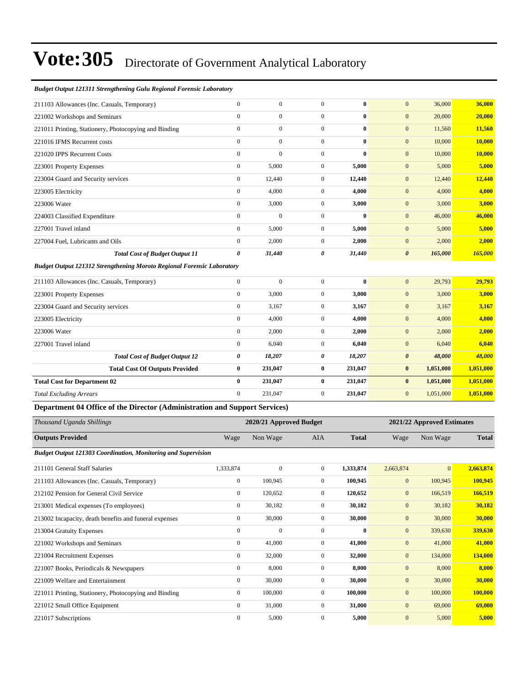#### *Budget Output 121311 Strengthening Gulu Regional Forensic Laboratory*

| 211103 Allowances (Inc. Casuals, Temporary)                                   | $\mathbf{0}$     | $\boldsymbol{0}$        | $\mathbf{0}$     | $\bf{0}$     | $\mathbf{0}$          | 36,000                     | 36,000         |
|-------------------------------------------------------------------------------|------------------|-------------------------|------------------|--------------|-----------------------|----------------------------|----------------|
| 221002 Workshops and Seminars                                                 | $\boldsymbol{0}$ | $\boldsymbol{0}$        | $\boldsymbol{0}$ | $\bf{0}$     | $\mathbf{0}$          | 20,000                     | 20,000         |
| 221011 Printing, Stationery, Photocopying and Binding                         | $\boldsymbol{0}$ | $\boldsymbol{0}$        | $\overline{0}$   | $\bf{0}$     | $\boldsymbol{0}$      | 11,560                     | 11,560         |
| 221016 IFMS Recurrent costs                                                   | $\boldsymbol{0}$ | $\boldsymbol{0}$        | $\boldsymbol{0}$ | $\bf{0}$     | $\mathbf{0}$          | 10,000                     | <b>10,000</b>  |
| 221020 IPPS Recurrent Costs                                                   | $\boldsymbol{0}$ | $\mathbf{0}$            | $\overline{0}$   | $\bf{0}$     | $\mathbf{0}$          | 10,000                     | 10,000         |
| 223001 Property Expenses                                                      | $\boldsymbol{0}$ | 5,000                   | $\boldsymbol{0}$ | 5,000        | $\mathbf{0}$          | 5,000                      | 5,000          |
| 223004 Guard and Security services                                            | $\boldsymbol{0}$ | 12,440                  | $\boldsymbol{0}$ | 12,440       | $\mathbf{0}$          | 12,440                     | 12,440         |
| 223005 Electricity                                                            | $\boldsymbol{0}$ | 4,000                   | $\overline{0}$   | 4,000        | $\mathbf{0}$          | 4,000                      | 4,000          |
| 223006 Water                                                                  | $\boldsymbol{0}$ | 3,000                   | $\mathbf{0}$     | 3,000        | $\mathbf{0}$          | 3,000                      | 3,000          |
| 224003 Classified Expenditure                                                 | $\boldsymbol{0}$ | $\mathbf{0}$            | $\mathbf{0}$     | $\bf{0}$     | $\mathbf{0}$          | 46,000                     | 46,000         |
| 227001 Travel inland                                                          | $\boldsymbol{0}$ | 5,000                   | $\boldsymbol{0}$ | 5,000        | $\mathbf{0}$          | 5,000                      | 5,000          |
| 227004 Fuel, Lubricants and Oils                                              | $\boldsymbol{0}$ | 2,000                   | $\mathbf{0}$     | 2,000        | $\mathbf{0}$          | 2,000                      | 2,000          |
| <b>Total Cost of Budget Output 11</b>                                         | $\pmb{\theta}$   | 31,440                  | 0                | 31,440       | $\boldsymbol{\theta}$ | 165,000                    | 165,000        |
| <b>Budget Output 121312 Strengthening Moroto Regional Forensic Laboratory</b> |                  |                         |                  |              |                       |                            |                |
| 211103 Allowances (Inc. Casuals, Temporary)                                   | $\boldsymbol{0}$ | $\boldsymbol{0}$        | $\mathbf{0}$     | $\bf{0}$     | $\mathbf{0}$          | 29,793                     | 29,793         |
| 223001 Property Expenses                                                      | $\boldsymbol{0}$ | 3,000                   | $\overline{0}$   | 3,000        | $\mathbf{0}$          | 3,000                      | 3,000          |
| 223004 Guard and Security services                                            | $\boldsymbol{0}$ | 3,167                   | $\boldsymbol{0}$ | 3,167        | $\mathbf{0}$          | 3,167                      | 3,167          |
| 223005 Electricity                                                            | $\boldsymbol{0}$ | 4,000                   | $\mathbf{0}$     | 4,000        | $\mathbf{0}$          | 4,000                      | 4,000          |
| 223006 Water                                                                  | $\boldsymbol{0}$ | 2,000                   | $\mathbf{0}$     | 2,000        | $\mathbf{0}$          | 2,000                      | 2,000          |
| 227001 Travel inland                                                          | $\boldsymbol{0}$ | 6,040                   | $\mathbf{0}$     | 6,040        | $\mathbf{0}$          | 6,040                      | 6,040          |
| <b>Total Cost of Budget Output 12</b>                                         | 0                | 18,207                  | 0                | 18,207       | $\boldsymbol{\theta}$ | 48,000                     | 48,000         |
| <b>Total Cost Of Outputs Provided</b>                                         | $\bf{0}$         | 231,047                 | $\bf{0}$         | 231,047      | $\bf{0}$              | 1,051,000                  | 1,051,000      |
| <b>Total Cost for Department 02</b>                                           | $\bf{0}$         | 231,047                 | $\bf{0}$         | 231,047      | $\bf{0}$              | 1,051,000                  | 1,051,000      |
| <b>Total Excluding Arrears</b>                                                | $\mathbf{0}$     | 231,047                 | $\boldsymbol{0}$ | 231,047      | $\mathbf{0}$          | 1,051,000                  | 1,051,000      |
| Department 04 Office of the Director (Administration and Support Services)    |                  |                         |                  |              |                       |                            |                |
| Thousand Uganda Shillings                                                     |                  | 2020/21 Approved Budget |                  |              |                       | 2021/22 Approved Estimates |                |
| <b>Outputs Provided</b>                                                       | Wage             | Non Wage                | AIA              | <b>Total</b> | Wage                  | Non Wage                   | <b>Total</b>   |
| Budget Output 121303 Coordination, Monitoring and Supervision                 |                  |                         |                  |              |                       |                            |                |
| 211101 General Staff Salaries                                                 | 1,333,874        | $\boldsymbol{0}$        | $\mathbf{0}$     | 1,333,874    | 2,663,874             | $\mathbf{0}$               | 2,663,874      |
| 211103 Allowances (Inc. Casuals, Temporary)                                   | $\boldsymbol{0}$ | 100,945                 | $\overline{0}$   | 100,945      | $\bf{0}$              | 100,945                    | 100,945        |
| 212102 Pension for General Civil Service                                      | $\boldsymbol{0}$ | 120,652                 | $\boldsymbol{0}$ | 120,652      | $\boldsymbol{0}$      | 166,519                    | 166,519        |
| 213001 Medical expenses (To employees)                                        | $\boldsymbol{0}$ | 30,182                  | $\boldsymbol{0}$ | 30,182       | $\boldsymbol{0}$      | 30,182                     | 30,182         |
| 213002 Incapacity, death benefits and funeral expenses                        | $\boldsymbol{0}$ | 30,000                  | $\boldsymbol{0}$ | 30,000       | $\boldsymbol{0}$      | 30,000                     | 30,000         |
| 213004 Gratuity Expenses                                                      | $\boldsymbol{0}$ | $\boldsymbol{0}$        | $\boldsymbol{0}$ | $\bf{0}$     | $\boldsymbol{0}$      | 339,630                    | 339,630        |
| 221002 Workshops and Seminars                                                 | $\boldsymbol{0}$ | 41,000                  | $\boldsymbol{0}$ | 41,000       | $\mathbf{0}$          | 41,000                     | 41,000         |
| 221004 Recruitment Expenses                                                   | $\boldsymbol{0}$ | 32,000                  | $\boldsymbol{0}$ | 32,000       | $\boldsymbol{0}$      | 134,000                    | 134,000        |
| 221007 Books, Periodicals & Newspapers                                        | $\boldsymbol{0}$ | 8,000                   | $\boldsymbol{0}$ | 8,000        | $\boldsymbol{0}$      | 8,000                      | 8,000          |
| 221009 Welfare and Entertainment                                              | $\boldsymbol{0}$ | 30,000                  | $\boldsymbol{0}$ | 30,000       | $\boldsymbol{0}$      | 30,000                     | 30,000         |
| 221011 Printing, Stationery, Photocopying and Binding                         | $\boldsymbol{0}$ | 100,000                 | $\boldsymbol{0}$ | 100,000      | $\boldsymbol{0}$      | 100,000                    | <b>100,000</b> |
| 221012 Small Office Equipment                                                 | $\boldsymbol{0}$ | 31,000                  | $\boldsymbol{0}$ | 31,000       | $\mathbf{0}$          | 69,000                     | 69,000         |
| 221017 Subscriptions                                                          | $\boldsymbol{0}$ | 5,000                   | $\boldsymbol{0}$ | 5,000        | $\boldsymbol{0}$      | 5,000                      | 5,000          |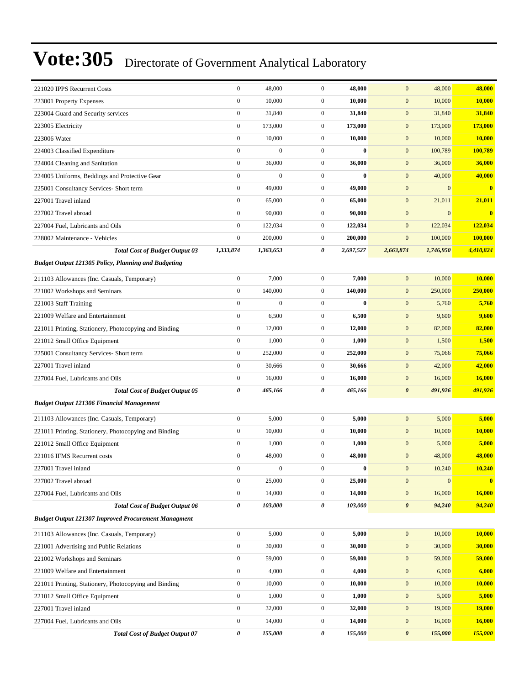| 221020 IPPS Recurrent Costs                                | $\boldsymbol{0}$ | 48,000           | $\boldsymbol{0}$ | 48,000    | $\mathbf{0}$          | 48,000           | 48,000        |
|------------------------------------------------------------|------------------|------------------|------------------|-----------|-----------------------|------------------|---------------|
| 223001 Property Expenses                                   | $\boldsymbol{0}$ | 10,000           | $\overline{0}$   | 10,000    | $\mathbf{0}$          | 10,000           | 10,000        |
| 223004 Guard and Security services                         | $\boldsymbol{0}$ | 31,840           | $\mathbf{0}$     | 31,840    | $\mathbf{0}$          | 31,840           | 31,840        |
| 223005 Electricity                                         | $\boldsymbol{0}$ | 173,000          | $\mathbf{0}$     | 173,000   | $\mathbf{0}$          | 173,000          | 173,000       |
| 223006 Water                                               | $\mathbf{0}$     | 10,000           | $\mathbf{0}$     | 10,000    | $\mathbf{0}$          | 10,000           | <b>10,000</b> |
| 224003 Classified Expenditure                              | $\boldsymbol{0}$ | $\boldsymbol{0}$ | $\mathbf{0}$     | $\bf{0}$  | $\mathbf{0}$          | 100,789          | 100,789       |
| 224004 Cleaning and Sanitation                             | $\boldsymbol{0}$ | 36,000           | $\boldsymbol{0}$ | 36,000    | $\mathbf{0}$          | 36,000           | 36,000        |
| 224005 Uniforms, Beddings and Protective Gear              | $\boldsymbol{0}$ | $\boldsymbol{0}$ | $\overline{0}$   | $\bf{0}$  | $\mathbf{0}$          | 40,000           | 40,000        |
| 225001 Consultancy Services- Short term                    | $\boldsymbol{0}$ | 49,000           | $\overline{0}$   | 49,000    | $\mathbf{0}$          | $\boldsymbol{0}$ | $\bf{0}$      |
| 227001 Travel inland                                       | $\boldsymbol{0}$ | 65,000           | $\mathbf{0}$     | 65,000    | $\mathbf{0}$          | 21,011           | 21,011        |
| 227002 Travel abroad                                       | $\boldsymbol{0}$ | 90,000           | $\mathbf{0}$     | 90,000    | $\mathbf{0}$          | $\boldsymbol{0}$ | $\mathbf{0}$  |
| 227004 Fuel, Lubricants and Oils                           | $\boldsymbol{0}$ | 122,034          | $\mathbf{0}$     | 122,034   | $\mathbf{0}$          | 122,034          | 122,034       |
| 228002 Maintenance - Vehicles                              | $\mathbf{0}$     | 200,000          | $\mathbf{0}$     | 200,000   | $\boldsymbol{0}$      | 100,000          | 100,000       |
| <b>Total Cost of Budget Output 03</b>                      | 1,333,874        | 1,363,653        | 0                | 2,697,527 | 2,663,874             | 1,746,950        | 4,410,824     |
| Budget Output 121305 Policy, Planning and Budgeting        |                  |                  |                  |           |                       |                  |               |
| 211103 Allowances (Inc. Casuals, Temporary)                | $\mathbf{0}$     | 7,000            | $\mathbf{0}$     | 7,000     | $\mathbf{0}$          | 10,000           | 10,000        |
| 221002 Workshops and Seminars                              | $\boldsymbol{0}$ | 140,000          | $\overline{0}$   | 140,000   | $\mathbf{0}$          | 250,000          | 250,000       |
| 221003 Staff Training                                      | $\mathbf{0}$     | $\mathbf{0}$     | $\overline{0}$   | $\bf{0}$  | $\mathbf{0}$          | 5,760            | 5,760         |
| 221009 Welfare and Entertainment                           | $\boldsymbol{0}$ | 6,500            | $\mathbf{0}$     | 6,500     | $\boldsymbol{0}$      | 9,600            | 9,600         |
| 221011 Printing, Stationery, Photocopying and Binding      | $\boldsymbol{0}$ | 12,000           | $\mathbf{0}$     | 12,000    | $\mathbf{0}$          | 82,000           | 82,000        |
| 221012 Small Office Equipment                              | $\boldsymbol{0}$ | 1,000            | $\mathbf{0}$     | 1,000     | $\mathbf{0}$          | 1,500            | 1,500         |
| 225001 Consultancy Services- Short term                    | $\boldsymbol{0}$ | 252,000          | $\mathbf{0}$     | 252,000   | $\mathbf{0}$          | 75,066           | 75,066        |
| 227001 Travel inland                                       | $\boldsymbol{0}$ | 30,666           | $\mathbf{0}$     | 30,666    | $\mathbf{0}$          | 42,000           | 42,000        |
| 227004 Fuel, Lubricants and Oils                           | $\mathbf{0}$     | 16,000           | $\mathbf{0}$     | 16,000    | $\boldsymbol{0}$      | 16,000           | 16,000        |
| <b>Total Cost of Budget Output 05</b>                      | 0                | 465,166          | 0                | 465,166   | $\boldsymbol{\theta}$ | 491,926          | 491,926       |
| <b>Budget Output 121306 Financial Management</b>           |                  |                  |                  |           |                       |                  |               |
| 211103 Allowances (Inc. Casuals, Temporary)                | $\mathbf{0}$     | 5,000            | $\mathbf{0}$     | 5,000     | $\mathbf{0}$          | 5,000            | 5,000         |
| 221011 Printing, Stationery, Photocopying and Binding      | $\boldsymbol{0}$ | 10,000           | $\mathbf{0}$     | 10,000    | $\mathbf{0}$          | 10,000           | 10,000        |
| 221012 Small Office Equipment                              | $\boldsymbol{0}$ | 1,000            | $\overline{0}$   | 1,000     | $\mathbf{0}$          | 5,000            | 5,000         |
| 221016 IFMS Recurrent costs                                | $\boldsymbol{0}$ | 48,000           | $\mathbf{0}$     | 48,000    | $\mathbf{0}$          | 48,000           | 48,000        |
| 227001 Travel inland                                       | $\boldsymbol{0}$ | $\boldsymbol{0}$ | $\boldsymbol{0}$ | $\bf{0}$  | $\boldsymbol{0}$      | 10,240           | 10,240        |
| 227002 Travel abroad                                       | $\boldsymbol{0}$ | 25,000           | $\boldsymbol{0}$ | 25,000    | $\mathbf{0}$          | $\boldsymbol{0}$ | $\bf{0}$      |
| 227004 Fuel, Lubricants and Oils                           | $\boldsymbol{0}$ | 14,000           | $\boldsymbol{0}$ | 14,000    | $\mathbf{0}$          | 16,000           | 16,000        |
| <b>Total Cost of Budget Output 06</b>                      | $\pmb{\theta}$   | 103,000          | 0                | 103,000   | $\pmb{\theta}$        | 94,240           | 94,240        |
| <b>Budget Output 121307 Improved Procurement Managment</b> |                  |                  |                  |           |                       |                  |               |
| 211103 Allowances (Inc. Casuals, Temporary)                | $\boldsymbol{0}$ | 5,000            | $\overline{0}$   | 5,000     | $\mathbf{0}$          | 10,000           | 10,000        |
| 221001 Advertising and Public Relations                    | $\boldsymbol{0}$ | 30,000           | $\boldsymbol{0}$ | 30,000    | $\mathbf{0}$          | 30,000           | 30,000        |
| 221002 Workshops and Seminars                              | $\mathbf{0}$     | 59,000           | $\boldsymbol{0}$ | 59,000    | $\mathbf{0}$          | 59,000           | 59,000        |
| 221009 Welfare and Entertainment                           | $\boldsymbol{0}$ | 4,000            | $\boldsymbol{0}$ | 4,000     | $\mathbf{0}$          | 6,000            | 6,000         |
| 221011 Printing, Stationery, Photocopying and Binding      | $\boldsymbol{0}$ | 10,000           | $\boldsymbol{0}$ | 10,000    | $\mathbf{0}$          | 10,000           | 10,000        |
| 221012 Small Office Equipment                              | $\boldsymbol{0}$ | 1,000            | $\mathbf{0}$     | 1,000     | $\mathbf{0}$          | 5,000            | 5,000         |
| 227001 Travel inland                                       | $\boldsymbol{0}$ | 32,000           | $\boldsymbol{0}$ | 32,000    | $\mathbf{0}$          | 19,000           | <b>19,000</b> |
| 227004 Fuel, Lubricants and Oils                           | $\boldsymbol{0}$ | 14,000           | $\boldsymbol{0}$ | 14,000    | $\mathbf{0}$          | 16,000           | 16,000        |
| <b>Total Cost of Budget Output 07</b>                      | 0                | 155,000          | 0                | 155,000   | $\pmb{\theta}$        | 155,000          | 155,000       |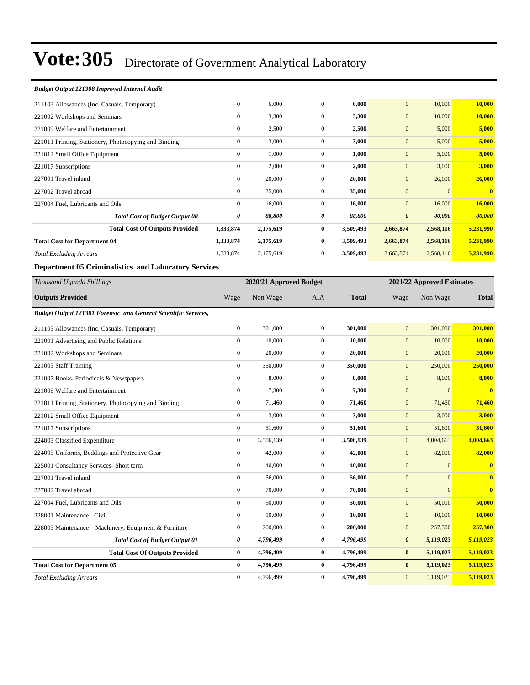#### *Budget Output 121308 Improved Internal Audit*

| $\mathbf{0}$     | 6,000     | $\overline{0}$ | 6,000     | $\mathbf{0}$          | 10,000    | 10,000       |
|------------------|-----------|----------------|-----------|-----------------------|-----------|--------------|
| $\mathbf{0}$     | 3,300     | $\overline{0}$ | 3,300     | $\mathbf{0}$          | 10,000    | 10,000       |
| $\mathbf{0}$     | 2,500     | $\mathbf{0}$   | 2,500     | $\mathbf{0}$          | 5,000     | 5,000        |
| $\mathbf{0}$     | 3,000     | $\overline{0}$ | 3,000     | $\mathbf{0}$          | 5,000     | 5,000        |
| $\mathbf{0}$     | 1,000     | $\mathbf{0}$   | 1,000     | $\mathbf{0}$          | 5,000     | 5,000        |
| $\bf{0}$         | 2,000     | $\overline{0}$ | 2,000     | $\mathbf{0}$          | 3,000     | 3,000        |
| $\boldsymbol{0}$ | 20,000    | $\mathbf{0}$   | 20,000    | $\mathbf{0}$          | 26,000    | 26,000       |
| $\mathbf{0}$     | 35,000    | $\mathbf{0}$   | 35,000    | $\mathbf{0}$          | $\Omega$  | $\mathbf{0}$ |
| $\mathbf{0}$     | 16,000    | $\overline{0}$ | 16,000    | $\mathbf{0}$          | 16,000    | 16,000       |
| 0                | 88,800    | 0              | 88,800    | $\boldsymbol{\theta}$ | 80,000    | 80,000       |
| 1,333,874        | 2,175,619 | $\bf{0}$       | 3,509,493 | 2,663,874             | 2,568,116 | 5,231,990    |
| 1,333,874        | 2,175,619 | $\bf{0}$       | 3,509,493 | 2,663,874             | 2,568,116 | 5,231,990    |
| 1,333,874        | 2,175,619 | $\overline{0}$ | 3,509,493 | 2,663,874             | 2,568,116 | 5,231,990    |
|                  |           |                |           |                       |           |              |

#### **Department 05 Criminalistics and Laboratory Services**

| Thousand Uganda Shillings                                      |                  | 2020/21 Approved Budget |                |              |                       | 2021/22 Approved Estimates |                         |
|----------------------------------------------------------------|------------------|-------------------------|----------------|--------------|-----------------------|----------------------------|-------------------------|
| <b>Outputs Provided</b>                                        | Wage             | Non Wage                | AIA            | <b>Total</b> | Wage                  | Non Wage                   | <b>Total</b>            |
| Budget Output 121301 Forensic and General Scientific Services, |                  |                         |                |              |                       |                            |                         |
| 211103 Allowances (Inc. Casuals, Temporary)                    | $\mathbf{0}$     | 301,000                 | $\Omega$       | 301.000      | $\mathbf{0}$          | 301,000                    | 301,000                 |
| 221001 Advertising and Public Relations                        | $\mathbf{0}$     | 10,000                  | $\overline{0}$ | 10,000       | $\mathbf{0}$          | 10,000                     | 10,000                  |
| 221002 Workshops and Seminars                                  | $\mathbf{0}$     | 20,000                  | $\overline{0}$ | 20,000       | $\mathbf{0}$          | 20,000                     | 20,000                  |
| 221003 Staff Training                                          | $\boldsymbol{0}$ | 350,000                 | $\mathbf{0}$   | 350,000      | $\mathbf{0}$          | 250,000                    | 250,000                 |
| 221007 Books, Periodicals & Newspapers                         | $\overline{0}$   | 8,000                   | $\overline{0}$ | 8,000        | $\mathbf{0}$          | 8,000                      | 8,000                   |
| 221009 Welfare and Entertainment                               | $\boldsymbol{0}$ | 7,300                   | $\mathbf{0}$   | 7,300        | $\boldsymbol{0}$      | $\mathbf{0}$               | $\mathbf{0}$            |
| 221011 Printing, Stationery, Photocopying and Binding          | $\overline{0}$   | 71,460                  | $\overline{0}$ | 71,460       | $\mathbf{0}$          | 71,460                     | 71,460                  |
| 221012 Small Office Equipment                                  | $\overline{0}$   | 3,000                   | $\mathbf{0}$   | 3,000        | $\mathbf{0}$          | 3,000                      | 3,000                   |
| 221017 Subscriptions                                           | $\overline{0}$   | 51,600                  | $\overline{0}$ | 51,600       | $\mathbf{0}$          | 51,600                     | 51,600                  |
| 224003 Classified Expenditure                                  | $\boldsymbol{0}$ | 3,506,139               | $\overline{0}$ | 3,506,139    | $\mathbf{0}$          | 4,004,663                  | 4,004,663               |
| 224005 Uniforms, Beddings and Protective Gear                  | $\boldsymbol{0}$ | 42,000                  | $\overline{0}$ | 42,000       | $\mathbf{0}$          | 82,000                     | 82,000                  |
| 225001 Consultancy Services- Short term                        | $\mathbf{0}$     | 40,000                  | $\overline{0}$ | 40,000       | $\mathbf{0}$          | $\Omega$                   | $\mathbf{0}$            |
| 227001 Travel inland                                           | $\overline{0}$   | 56,000                  | $\overline{0}$ | 56,000       | $\mathbf{0}$          | $\Omega$                   | $\mathbf{0}$            |
| 227002 Travel abroad                                           | $\mathbf{0}$     | 70,000                  | $\overline{0}$ | 70,000       | $\mathbf{0}$          | $\Omega$                   | $\overline{\mathbf{0}}$ |
| 227004 Fuel, Lubricants and Oils                               | $\overline{0}$   | 50,000                  | $\overline{0}$ | 50,000       | $\mathbf{0}$          | 50,000                     | 50,000                  |
| 228001 Maintenance - Civil                                     | $\mathbf{0}$     | 10,000                  | $\overline{0}$ | 10,000       | $\mathbf{0}$          | 10,000                     | 10,000                  |
| 228003 Maintenance - Machinery, Equipment & Furniture          | $\boldsymbol{0}$ | 200,000                 | $\mathbf{0}$   | 200,000      | $\mathbf{0}$          | 257,300                    | 257,300                 |
| <b>Total Cost of Budget Output 01</b>                          | 0                | 4,796,499               | 0              | 4,796,499    | $\boldsymbol{\theta}$ | 5,119,023                  | 5,119,023               |
| <b>Total Cost Of Outputs Provided</b>                          | $\bf{0}$         | 4,796,499               | $\bf{0}$       | 4,796,499    | $\bf{0}$              | 5,119,023                  | 5,119,023               |
| <b>Total Cost for Department 05</b>                            | $\mathbf{0}$     | 4,796,499               | $\bf{0}$       | 4,796,499    | $\bf{0}$              | 5,119,023                  | 5,119,023               |
| <b>Total Excluding Arrears</b>                                 | $\mathbf{0}$     | 4,796,499               | $\mathbf{0}$   | 4,796,499    | $\overline{0}$        | 5,119,023                  | 5,119,023               |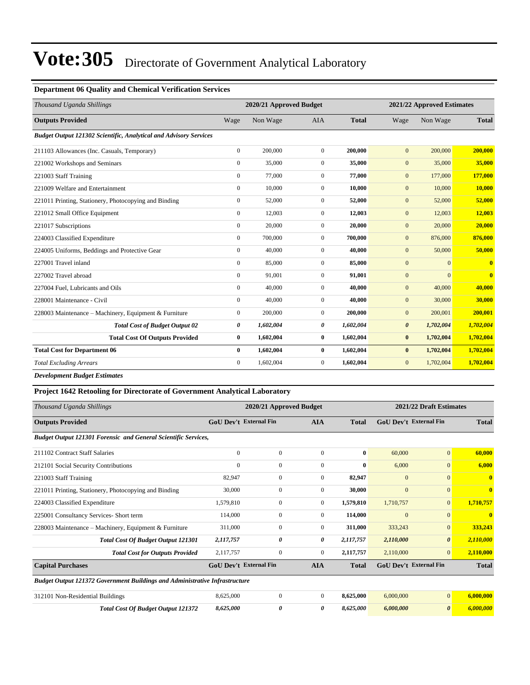#### **Department 06 Quality and Chemical Verification Services**

| Thousand Uganda Shillings                                         |                  | 2020/21 Approved Budget |                |              |                       | 2021/22 Approved Estimates |              |
|-------------------------------------------------------------------|------------------|-------------------------|----------------|--------------|-----------------------|----------------------------|--------------|
| <b>Outputs Provided</b>                                           | Wage             | Non Wage                | <b>AIA</b>     | <b>Total</b> | Wage                  | Non Wage                   | <b>Total</b> |
| Budget Output 121302 Scientific, Analytical and Advisory Services |                  |                         |                |              |                       |                            |              |
| 211103 Allowances (Inc. Casuals, Temporary)                       | $\mathbf{0}$     | 200,000                 | $\mathbf{0}$   | 200,000      | $\mathbf{0}$          | 200,000                    | 200,000      |
| 221002 Workshops and Seminars                                     | $\mathbf{0}$     | 35,000                  | $\overline{0}$ | 35,000       | $\mathbf{0}$          | 35,000                     | 35,000       |
| 221003 Staff Training                                             | $\mathbf{0}$     | 77,000                  | $\overline{0}$ | 77,000       | $\mathbf{0}$          | 177,000                    | 177,000      |
| 221009 Welfare and Entertainment                                  | $\mathbf{0}$     | 10,000                  | $\mathbf{0}$   | 10,000       | $\mathbf{0}$          | 10,000                     | 10,000       |
| 221011 Printing, Stationery, Photocopying and Binding             | $\boldsymbol{0}$ | 52,000                  | $\overline{0}$ | 52,000       | $\boldsymbol{0}$      | 52,000                     | 52,000       |
| 221012 Small Office Equipment                                     | $\mathbf{0}$     | 12,003                  | $\overline{0}$ | 12,003       | $\mathbf{0}$          | 12,003                     | 12,003       |
| 221017 Subscriptions                                              | $\mathbf{0}$     | 20,000                  | $\mathbf{0}$   | 20,000       | $\mathbf{0}$          | 20,000                     | 20,000       |
| 224003 Classified Expenditure                                     | $\mathbf{0}$     | 700,000                 | $\Omega$       | 700,000      | $\mathbf{0}$          | 876,000                    | 876,000      |
| 224005 Uniforms, Beddings and Protective Gear                     | $\mathbf{0}$     | 40,000                  | $\mathbf{0}$   | 40,000       | $\overline{0}$        | 50,000                     | 50,000       |
| 227001 Travel inland                                              | $\mathbf{0}$     | 85,000                  | $\overline{0}$ | 85,000       | $\mathbf{0}$          | $\mathbf{0}$               | $\mathbf{0}$ |
| 227002 Travel abroad                                              | $\mathbf{0}$     | 91,001                  | $\overline{0}$ | 91,001       | $\mathbf{0}$          | $\mathbf{0}$               | $\bf{0}$     |
| 227004 Fuel, Lubricants and Oils                                  | $\mathbf{0}$     | 40,000                  | $\overline{0}$ | 40,000       | $\mathbf{0}$          | 40,000                     | 40,000       |
| 228001 Maintenance - Civil                                        | $\mathbf{0}$     | 40,000                  | $\mathbf{0}$   | 40.000       | $\mathbf{0}$          | 30,000                     | 30,000       |
| 228003 Maintenance - Machinery, Equipment & Furniture             | $\boldsymbol{0}$ | 200,000                 | $\overline{0}$ | 200,000      | $\mathbf{0}$          | 200,001                    | 200,001      |
| <b>Total Cost of Budget Output 02</b>                             | 0                | 1,602,004               | 0              | 1,602,004    | $\boldsymbol{\theta}$ | 1,702,004                  | 1,702,004    |
| <b>Total Cost Of Outputs Provided</b>                             | $\bf{0}$         | 1,602,004               | $\bf{0}$       | 1,602,004    | $\bf{0}$              | 1,702,004                  | 1,702,004    |
| <b>Total Cost for Department 06</b>                               | $\bf{0}$         | 1,602,004               | $\bf{0}$       | 1,602,004    | $\bf{0}$              | 1,702,004                  | 1,702,004    |
| <b>Total Excluding Arrears</b>                                    | $\mathbf{0}$     | 1,602,004               | $\overline{0}$ | 1,602,004    | $\mathbf{0}$          | 1,702,004                  | 1,702,004    |
| <b>Development Budget Estimates</b>                               |                  |                         |                |              |                       |                            |              |

#### **Project 1642 Retooling for Directorate of Government Analytical Laboratory**

| Thousand Uganda Shillings                                                          |                               | 2020/21 Approved Budget |                |              | 2021/22 Draft Estimates       |                       |              |  |
|------------------------------------------------------------------------------------|-------------------------------|-------------------------|----------------|--------------|-------------------------------|-----------------------|--------------|--|
| <b>Outputs Provided</b>                                                            | <b>GoU Dev't External Fin</b> |                         | <b>AIA</b>     | <b>Total</b> | <b>GoU</b> Dev't External Fin |                       | <b>Total</b> |  |
| <b>Budget Output 121301 Forensic and General Scientific Services,</b>              |                               |                         |                |              |                               |                       |              |  |
| 211102 Contract Staff Salaries                                                     | $\Omega$                      | $\Omega$                | $\Omega$       | $\bf{0}$     | 60,000                        | $\mathbf{0}$          | 60,000       |  |
| 212101 Social Security Contributions                                               | $\Omega$                      | $\mathbf{0}$            | $\Omega$       | 0            | 6,000                         | $\overline{0}$        | 6,000        |  |
| 221003 Staff Training                                                              | 82.947                        | $\mathbf{0}$            | $\overline{0}$ | 82,947       | $\mathbf{0}$                  | $\overline{0}$        | $\mathbf{0}$ |  |
| 221011 Printing, Stationery, Photocopying and Binding                              | 30,000                        | $\mathbf{0}$            | $\overline{0}$ | 30,000       | $\mathbf{0}$                  | $\mathbf{0}$          | $\mathbf{0}$ |  |
| 224003 Classified Expenditure                                                      | 1,579,810                     | $\mathbf{0}$            | $\overline{0}$ | 1,579,810    | 1,710,757                     | $\mathbf{0}$          | 1,710,757    |  |
| 225001 Consultancy Services- Short term                                            | 114,000                       | $\mathbf{0}$            | $\overline{0}$ | 114,000      | $\mathbf{0}$                  | $\mathbf{0}$          | $\mathbf{0}$ |  |
| 228003 Maintenance - Machinery, Equipment & Furniture                              | 311,000                       | $\mathbf{0}$            | $\mathbf{0}$   | 311,000      | 333,243                       | $\overline{0}$        | 333,243      |  |
| <b>Total Cost Of Budget Output 121301</b>                                          | 2,117,757                     | 0                       | 0              | 2,117,757    | 2,110,000                     | $\boldsymbol{\theta}$ | 2,110,000    |  |
| <b>Total Cost for Outputs Provided</b>                                             | 2,117,757                     | $\mathbf{0}$            | $\overline{0}$ | 2,117,757    | 2,110,000                     | $\overline{0}$        | 2,110,000    |  |
| <b>Capital Purchases</b>                                                           | <b>GoU Dev't External Fin</b> |                         | <b>AIA</b>     | <b>Total</b> | <b>GoU Dev't External Fin</b> |                       | <b>Total</b> |  |
| <b>Budget Output 121372 Government Buildings and Administrative Infrastructure</b> |                               |                         |                |              |                               |                       |              |  |
| 312101 Non-Residential Buildings                                                   | 8,625,000                     | $\mathbf{0}$            | $\mathbf{0}$   | 8,625,000    | 6,000,000                     | $\overline{0}$        | 6,000,000    |  |
| <b>Total Cost Of Budget Output 121372</b>                                          | 8,625,000                     | 0                       | 0              | 8,625,000    | 6,000,000                     | $\boldsymbol{\theta}$ | 6,000,000    |  |